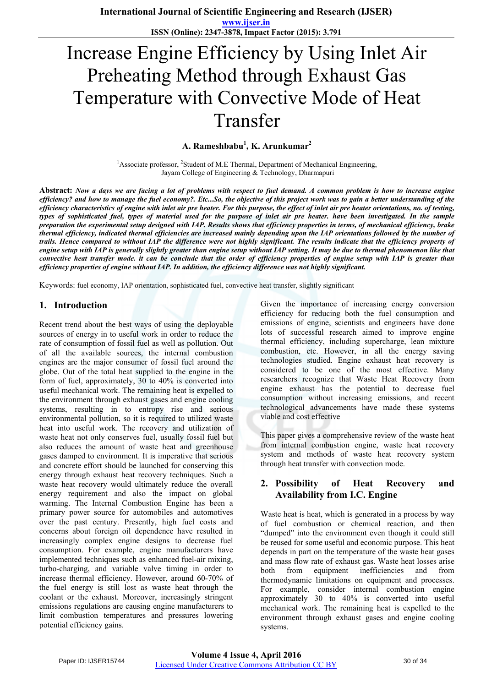# Increase Engine Efficiency by Using Inlet Air Preheating Method through Exhaust Gas Temperature with Convective Mode of Heat Transfer

**A. Rameshbabu<sup>1</sup> , K. Arunkumar<sup>2</sup>**

<sup>1</sup>Associate professor, <sup>2</sup>Student of M.E Thermal, Department of Mechanical Engineering, Jayam College of Engineering & Technology, Dharmapuri

**Abstract:** *Now a days we are facing a lot of problems with respect to fuel demand. A common problem is how to increase engine efficiency? and how to manage the fuel economy?. Etc...So, the objective of this project work was to gain a better understanding of the efficiency characteristics of engine with inlet air pre heater. For this purpose, the effect of inlet air pre heater orientations, no. of testing, types of sophisticated fuel, types of material used for the purpose of inlet air pre heater. have been investigated. In the sample preparation the experimental setup designed with IAP. Results shows that efficiency properties in terms, of mechanical efficiency, brake thermal efficiency, indicated thermal efficiencies are increased mainly depending upon the IAP orientations followed by the number of trails. Hence compared to without IAP the difference were not highly significant. The results indicate that the efficiency property of engine setup with IAP is generally slightly greater than engine setup without IAP setting. It may be due to thermal phenomenon like that convective heat transfer mode. it can be conclude that the order of efficiency properties of engine setup with IAP is greater than efficiency properties of engine without IAP. In addition, the efficiency difference was not highly significant.* 

Keywords: fuel economy, IAP orientation, sophisticated fuel, convective heat transfer, slightly significant

# **1. Introduction**

Recent trend about the best ways of using the deployable sources of energy in to useful work in order to reduce the rate of consumption of fossil fuel as well as pollution. Out of all the available sources, the internal combustion engines are the major consumer of fossil fuel around the globe. Out of the total heat supplied to the engine in the form of fuel, approximately, 30 to 40% is converted into useful mechanical work. The remaining heat is expelled to the environment through exhaust gases and engine cooling systems, resulting in to entropy rise and serious environmental pollution, so it is required to utilized waste heat into useful work. The recovery and utilization of waste heat not only conserves fuel, usually fossil fuel but also reduces the amount of waste heat and greenhouse gases damped to environment. It is imperative that serious and concrete effort should be launched for conserving this energy through exhaust heat recovery techniques. Such a waste heat recovery would ultimately reduce the overall energy requirement and also the impact on global warming. The Internal Combustion Engine has been a primary power source for automobiles and automotives over the past century. Presently, high fuel costs and concerns about foreign oil dependence have resulted in increasingly complex engine designs to decrease fuel consumption. For example, engine manufacturers have implemented techniques such as enhanced fuel-air mixing, turbo-charging, and variable valve timing in order to increase thermal efficiency. However, around 60-70% of the fuel energy is still lost as waste heat through the coolant or the exhaust. Moreover, increasingly stringent emissions regulations are causing engine manufacturers to limit combustion temperatures and pressures lowering potential efficiency gains.

Given the importance of increasing energy conversion efficiency for reducing both the fuel consumption and emissions of engine, scientists and engineers have done lots of successful research aimed to improve engine thermal efficiency, including supercharge, lean mixture combustion, etc. However, in all the energy saving technologies studied. Engine exhaust heat recovery is considered to be one of the most effective. Many researchers recognize that Waste Heat Recovery from engine exhaust has the potential to decrease fuel consumption without increasing emissions, and recent technological advancements have made these systems viable and cost effective

This paper gives a comprehensive review of the waste heat from internal combustion engine, waste heat recovery system and methods of waste heat recovery system through heat transfer with convection mode.

# **2. Possibility of Heat Recovery and Availability from I.C. Engine**

Waste heat is heat, which is generated in a process by way of fuel combustion or chemical reaction, and then "dumped" into the environment even though it could still be reused for some useful and economic purpose. This heat depends in part on the temperature of the waste heat gases and mass flow rate of exhaust gas. Waste heat losses arise both from equipment inefficiencies and from thermodynamic limitations on equipment and processes. For example, consider internal combustion engine approximately 30 to 40% is converted into useful mechanical work. The remaining heat is expelled to the environment through exhaust gases and engine cooling systems.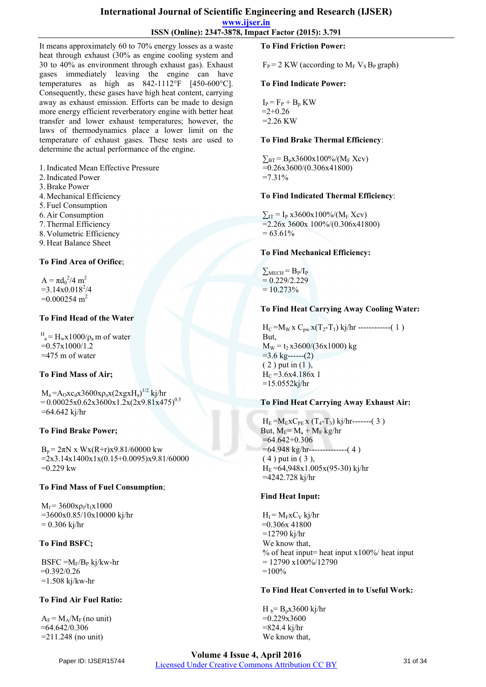# **International Journal of Scientific Engineering and Research (IJSER)**

**www.ijser.in**

**ISSN (Online): 2347-3878, Impact Factor (2015): 3.791**

It means approximately 60 to 70% energy losses as a waste heat through exhaust (30% as engine cooling system and 30 to 40% as environment through exhaust gas). Exhaust gases immediately leaving the engine can have temperatures as high as 842-1112°F [450-600°C]. Consequently, these gases have high heat content, carrying away as exhaust emission. Efforts can be made to design more energy efficient reverberatory engine with better heat transfer and lower exhaust temperatures; however, the laws of thermodynamics place a lower limit on the temperature of exhaust gases. These tests are used to determine the actual performance of the engine.

1.Indicated Mean Effective Pressure

- 2.Indicated Power
- 3.Brake Power
- 4.Mechanical Efficiency
- 5. Fuel Consumption
- 6. Air Consumption
- 7.Thermal Efficiency
- 8. Volumetric Efficiency
- 9. Heat Balance Sheet

# **To Find Area of Orifice**;

 $A = \pi d_0^2/4 m^2$  $=3.14x0.018^{2}/4$  $=0.000254 \text{ m}^2$ 

### **To Find Head of the Water**

 $H_a = H_w x 1000/\rho_a$  m of water  $=0.57x1000/1.2$  $=475$  m of water

# **To Find Mass of Air;**

 $M_a = A_0 x c_d x 3600 x \rho_a x (2xgxH_a)^{1/2}$  kj/hr  $= 0.00025 \times 0.62 \times 3600 \times 1.2 \times (2 \times 9.81 \times 475)^{0.5}$  $=64.642$  kj/hr

# **To Find Brake Power;**

 $B_p = 2\pi N$  x Wx(R+r)x9.81/60000 kw  $=2x3.14x1400x1x(0.15+0.0095)x9.81/60000$  $=0.229$  kw

#### **To Find Mass of Fuel Consumption**;

 $M_f = 3600x\rho_f/t_1x1000$  =3600x0.85/10x10000 kj/hr  $= 0.306$  kj/hr

# **To Find BSFC;**

 $B$ SFC = $M_F/B_P$  kj/kw-hr  $=0.392/0.26$ =1.508 kj/kw-hr

# **To Find Air Fuel Ratio:**

 $A_F = M_A/M_F$  (no unit) =64.642/0.306 =211.248 (no unit)

#### **To Find Friction Power:**

 $F_P = 2$  KW (according to  $M_F V_S B_P$  graph)

#### **To Find Indicate Power:**

 $I_P = F_P + B_p$  KW  $=2+0.26$  $=2.26$  KW

#### **To Find Brake Thermal Efficiency**:

 $\Sigma_{\rm BT} = B_{\rm p}x3600x100\% / (M_{\rm F} \text{ Xcv})$  $= 0.26x3600/(0.306x41800)$  $=7.31\%$ 

#### **To Find Indicated Thermal Efficiency**:

 $\Sigma_{IT}$  = I<sub>P</sub> x3600x100%/(M<sub>F</sub> Xcv)  $=$ 2.26x 3600x 100%/(0.306x41800)  $= 63.61\%$ 

#### **To Find Mechanical Efficiency:**

 $\sum_{MECH} = B_P/I_P$  $= 0.229/2.229$  $= 10.273%$ 

#### **To Find Heat Carrying Away Cooling Water:**

 $H_C = M_W x C_{pw} x(T_2-T_1)$  kj/hr ------------(1) But,  $M_W = t_2 x3600/(36x1000)$  kg  $=$ 3.6 kg------(2)  $(2)$  put in  $(1)$ ,  $H_C = 3.6x4.186x1$  $=15.0552$ kj/hr

#### **To Find Heat Carrying Away Exhaust Air:**

 $H_E = M_E X C_{PE} x (T_4 - T_3) k j/hr$ -------(3) But,  $M_E = M_a + M_F$  kg/hr  $=64.642+0.306$  =64.948 kg/hr--------------( 4 ) ( 4 ) put in ( 3 ),  $H_E = 64,948x1.005x(95-30)$  kj/hr =4242.728 kj/hr

#### **Find Heat Input:**

 $H_I = M_F x C_V k_i/hr$  $=0.306x$  41800 =12790 kj/hr We know that, % of heat input= heat input  $x100\%$  heat input  $= 12790 \times 100\%/12790$  $=100%$ 

#### **To Find Heat Converted in to Useful Work:**

 $H_{b} = B_{p}x3600 \text{ kj/hr}$  $=0.229x3600$  =824.4 kj/hr We know that,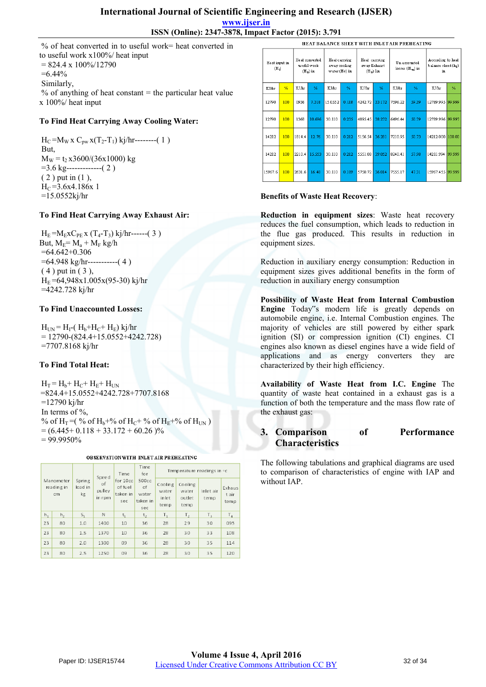## **International Journal of Scientific Engineering and Research (IJSER) www.ijser.in ISSN (Online): 2347-3878, Impact Factor (2015): 3.791**

 % of heat converted in to useful work= heat converted in to useful work x100%/ heat input  $= 824.4 \times 100\%/12790$  $=6.44\%$  Similarly,  $%$  of anything of heat constant = the particular heat value x 100%/ heat input

### **To Find Heat Carrying Away Cooling Water:**

 $H_C = M_W x C_{pw} x(T_2-T_1) k_1/hr$ --------(1) But,  $M_W = t_2 x3600/(36x1000)$  kg =3.6 kg-------------( 2 ) ( 2 ) put in (1 ),  $H_C = 3.6x4.186x$  1  $=15.0552$ kj/hr

# **To Find Heat Carrying Away Exhaust Air:**

 $H_E = M_E x C_{PE} x (T_4 - T_3) k_I/hr$ ------(3) But,  $M_F = M_a + M_F$  kg/h  $=64.642+0.306$  =64.948 kg/hr-----------( 4 ) ( 4 ) put in ( 3 ),  $H_E = 64,948x1.005x(95-30)$  kj/hr =4242.728 kj/hr

#### **To Find Unaccounted Losses:**

 $H_{\text{UN}} = H_{\text{I}} - (H_{\text{b}} + H_{\text{C}} + H_{\text{E}})$  kj/hr  $= 12790-(824.4+15.0552+4242.728)$ =7707.8168 kj/hr

#### **To Find Total Heat:**

 $H_T = H_b + H_c + H_E + H_{UN}$ =824.4+15.0552+4242.728+7707.8168  $=12790$  ki/hr In terms of %, % of H<sub>T</sub> = (% of H<sub>b</sub>+% of H<sub>C</sub>+% of H<sub>F</sub>+% of H<sub>IN</sub>)  $= (6.445+0.118+33.172+60.26)\%$  $= 99.9950\%$ 

OBSERVATION WITH INLET AIR PREHEATING

|       |                               | Spring<br>load in<br>kg | Speed<br>of<br>pulley<br>in rpm | Time<br>for 10cc<br>of fuel<br>taken in<br>sec | Time<br>for<br>500cc<br>of<br>water<br>taken in<br>sec | Temperature readings in $\circ$ c |                                    |                   |                        |  |
|-------|-------------------------------|-------------------------|---------------------------------|------------------------------------------------|--------------------------------------------------------|-----------------------------------|------------------------------------|-------------------|------------------------|--|
|       | Manometer<br>reading in<br>cm |                         |                                 |                                                |                                                        | Cooling<br>water<br>inlet<br>temp | Cooling<br>water<br>outlet<br>temp | Inlet air<br>temp | Exhaus<br>tair<br>temp |  |
| $h_1$ | h <sub>2</sub>                | $S_1$                   | N                               | $t_1$                                          | t <sub>2</sub>                                         | T,                                | T <sub>2</sub>                     | $T_{2}$           | T <sub>4</sub>         |  |
| 23    | 80                            | 1.0                     | 1400                            | 10                                             | 36                                                     | 28                                | 29                                 | 30                | 095                    |  |
| 23    | 80                            | 1.5                     | 1370                            | 10                                             | 36                                                     | 28                                | 30                                 | 33                | 108                    |  |
| 23    | 80                            | 2.0                     | 1300                            | 09                                             | 36                                                     | 28                                | 30                                 | 35                | 114                    |  |
| 23    | 80                            | 2.5                     | 1250                            | 09                                             | 36                                                     | 28                                | 30                                 | 35                | 120                    |  |

|                                    | HEAT BALANCE SHEET WITH INLET AIR PREHEATING |                                             |        |                                                 |       |                                              |        |                                  |       |                                              |        |
|------------------------------------|----------------------------------------------|---------------------------------------------|--------|-------------------------------------------------|-------|----------------------------------------------|--------|----------------------------------|-------|----------------------------------------------|--------|
| Heat input in<br>(H <sub>1</sub> ) |                                              | Heat converted<br>useful work<br>$(H_B)$ in |        | He at carrying<br>away cooling<br>water (Hc) in |       | Heat carrying<br>aw ay Exhaust<br>$(Hw)$ Iin |        | Un accounted<br>$losses(H_m)$ in |       | According to heat<br>balance sheet(h,)<br>in |        |
| KJ/hr                              | %                                            | <b>KJ</b> Ar                                | %      | KJ/hr                                           | %     | K J/hr                                       | %      | K J/hr                           | %     | KJ/hr                                        | %      |
| 12790                              | 100                                          | 0936                                        | 7.318  | 15.0552                                         | 0.118 | 4242.72                                      | 33.172 | 7596.22                          | 59.39 | 12789.995 99.999                             |        |
| 12790                              | 100                                          | 1368                                        | 10.696 | 30.110                                          | 0.235 | 489545                                       | 38.272 | 6496 44                          | 50.79 | 12789 996 99 997                             |        |
| 14212                              | 100                                          | 1814.4                                      | 12.76  | 30.110                                          | 0.212 | 5156.54                                      | 36.281 | 7210.95                          | 50.73 | 14212.000                                    | 100.00 |
| 14212                              | 100                                          | 2210.4                                      | 15.553 | 30.110                                          | 0.212 | 5551.08                                      | 39.052 | 824041                           | 57.98 | 14211.994                                    | 99.999 |
| 15967.6                            | 100                                          | 2631.6                                      | 16.48  | 30.110                                          | 0.189 | 5750.72                                      | 36.014 | 7555.17                          | 47.31 | 15967.455 99.999                             |        |

### **Benefits of Waste Heat Recovery**:

**Reduction in equipment sizes**: Waste heat recovery reduces the fuel consumption, which leads to reduction in the flue gas produced. This results in reduction in equipment sizes.

Reduction in auxiliary energy consumption: Reduction in equipment sizes gives additional benefits in the form of reduction in auxiliary energy consumption

**Possibility of Waste Heat from Internal Combustion Engine** Today"s modern life is greatly depends on automobile engine, i.e. Internal Combustion engines. The majority of vehicles are still powered by either spark ignition (SI) or compression ignition (CI) engines. CI engines also known as diesel engines have a wide field of applications and as energy converters they are characterized by their high efficiency.

**Availability of Waste Heat from I.C. Engine** The quantity of waste heat contained in a exhaust gas is a function of both the temperature and the mass flow rate of the exhaust gas:

# **3. Comparison of Performance Characteristics**

The following tabulations and graphical diagrams are used to comparison of characteristics of engine with IAP and without IAP.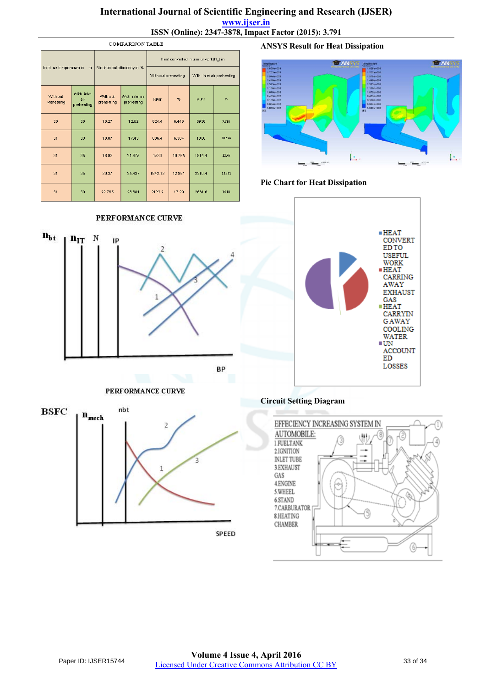# **International Journal of Scientific Engineering and Research (IJSER) www.ijser.in**

**ISSN (Online): 2347-3878, Impact Factor (2015): 3.791**

| <b>COMPARISON TABLE</b>  |                                 |                            |                              |                                                   |        |                           |                  |  |  |
|--------------------------|---------------------------------|----------------------------|------------------------------|---------------------------------------------------|--------|---------------------------|------------------|--|--|
|                          |                                 |                            |                              | Heat converted in useful work(H <sub>s</sub> ) in |        |                           |                  |  |  |
| Inlet air temperature in | ÷C.                             | Mechanical efficiency in % |                              | With out preheating                               |        | With inlet air preheating |                  |  |  |
| Without<br>preheating    | With inlet<br>air<br>preheating | Without<br>preheating      | With inlet air<br>preheating | Kj/hr<br>%                                        |        | Kj/hr                     | $\gamma_{\rm a}$ |  |  |
| 30                       | 30                              | 10.27                      | 12.62                        | 824.4                                             | 6.445  | 0936                      | 7.318            |  |  |
| 31                       | 33                              | 10.07                      | 17.43                        | 806.4                                             | 6.304  | 1368                      | 10.696           |  |  |
| 31                       | 35                              | 18.93                      | 21.875                       | 1530                                              | 10.765 | 1814.4                    | 12.76            |  |  |
| 31                       | 35                              | 20.37                      | 25.437                       | 1842.12                                           | 12.961 | 2210.4                    | 15.553           |  |  |
| 31                       | 39                              | 22.765                     | 28.881                       | 2122.2                                            | 13.29  | 2631.6                    | 16.48            |  |  |

### PERFORMANCE CURVE



### PERFORMANCE CURVE



**ANSYS Result for Heat Dissipation**